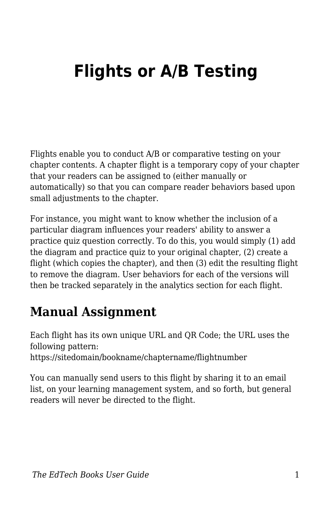## **Flights or A/B Testing**

Flights enable you to conduct A/B or comparative testing on your chapter contents. A chapter flight is a temporary copy of your chapter that your readers can be assigned to (either manually or automatically) so that you can compare reader behaviors based upon small adjustments to the chapter.

For instance, you might want to know whether the inclusion of a particular diagram influences your readers' ability to answer a practice quiz question correctly. To do this, you would simply (1) add the diagram and practice quiz to your original chapter, (2) create a flight (which copies the chapter), and then (3) edit the resulting flight to remove the diagram. User behaviors for each of the versions will then be tracked separately in the analytics section for each flight.

## **Manual Assignment**

Each flight has its own unique URL and QR Code; the URL uses the following pattern: https://sitedomain/bookname/chaptername/flightnumber

You can manually send users to this flight by sharing it to an email list, on your learning management system, and so forth, but general readers will never be directed to the flight.